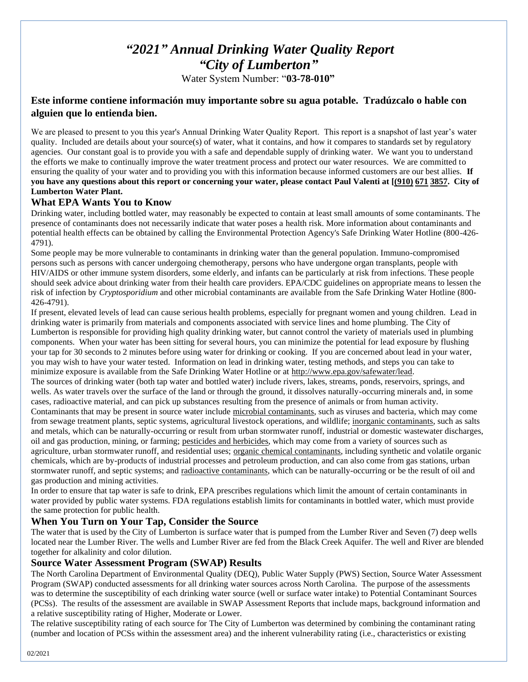# *"2021" Annual Drinking Water Quality Report "City of Lumberton"*

Water System Number: "**03-78-010"**

## **Este informe contiene información muy importante sobre su agua potable. Tradúzcalo o hable con alguien que lo entienda bien.**

We are pleased to present to you this year's Annual Drinking Water Quality Report. This report is a snapshot of last year's water quality. Included are details about your source(s) of water, what it contains, and how it compares to standards set by regulatory agencies. Our constant goal is to provide you with a safe and dependable supply of drinking water. We want you to understand the efforts we make to continually improve the water treatment process and protect our water resources. We are committed to ensuring the quality of your water and to providing you with this information because informed customers are our best allies. **If you have any questions about this report or concerning your water, please contact Paul Valenti at [(910) 671 3857. City of Lumberton Water Plant.**

## **What EPA Wants You to Know**

Drinking water, including bottled water, may reasonably be expected to contain at least small amounts of some contaminants. The presence of contaminants does not necessarily indicate that water poses a health risk. More information about contaminants and potential health effects can be obtained by calling the Environmental Protection Agency's Safe Drinking Water Hotline (800-426- 4791).

Some people may be more vulnerable to contaminants in drinking water than the general population. Immuno-compromised persons such as persons with cancer undergoing chemotherapy, persons who have undergone organ transplants, people with HIV/AIDS or other immune system disorders, some elderly, and infants can be particularly at risk from infections. These people should seek advice about drinking water from their health care providers. EPA/CDC guidelines on appropriate means to lessen the risk of infection by *Cryptosporidium* and other microbial contaminants are available from the Safe Drinking Water Hotline (800- 426-4791).

If present, elevated levels of lead can cause serious health problems, especially for pregnant women and young children. Lead in drinking water is primarily from materials and components associated with service lines and home plumbing. The City of Lumberton is responsible for providing high quality drinking water, but cannot control the variety of materials used in plumbing components. When your water has been sitting for several hours, you can minimize the potential for lead exposure by flushing your tap for 30 seconds to 2 minutes before using water for drinking or cooking. If you are concerned about lead in your water, you may wish to have your water tested. Information on lead in drinking water, testing methods, and steps you can take to minimize exposure is available from the Safe Drinking Water Hotline or at [http://www.epa.gov/safewater/lead.](http://www.epa.gov/safewater/lead)

The sources of drinking water (both tap water and bottled water) include rivers, lakes, streams, ponds, reservoirs, springs, and wells. As water travels over the surface of the land or through the ground, it dissolves naturally-occurring minerals and, in some cases, radioactive material, and can pick up substances resulting from the presence of animals or from human activity.

Contaminants that may be present in source water include microbial contaminants, such as viruses and bacteria, which may come from sewage treatment plants, septic systems, agricultural livestock operations, and wildlife; inorganic contaminants, such as salts and metals, which can be naturally-occurring or result from urban stormwater runoff, industrial or domestic wastewater discharges, oil and gas production, mining, or farming; pesticides and herbicides, which may come from a variety of sources such as agriculture, urban stormwater runoff, and residential uses; organic chemical contaminants, including synthetic and volatile organic chemicals, which are by-products of industrial processes and petroleum production, and can also come from gas stations, urban stormwater runoff, and septic systems; and radioactive contaminants, which can be naturally-occurring or be the result of oil and gas production and mining activities.

In order to ensure that tap water is safe to drink, EPA prescribes regulations which limit the amount of certain contaminants in water provided by public water systems. FDA regulations establish limits for contaminants in bottled water, which must provide the same protection for public health.

## **When You Turn on Your Tap, Consider the Source**

The water that is used by the City of Lumberton is surface water that is pumped from the Lumber River and Seven (7) deep wells located near the Lumber River. The wells and Lumber River are fed from the Black Creek Aquifer. The well and River are blended together for alkalinity and color dilution.

## **Source Water Assessment Program (SWAP) Results**

The North Carolina Department of Environmental Quality (DEQ), Public Water Supply (PWS) Section, Source Water Assessment Program (SWAP) conducted assessments for all drinking water sources across North Carolina. The purpose of the assessments was to determine the susceptibility of each drinking water source (well or surface water intake) to Potential Contaminant Sources (PCSs). The results of the assessment are available in SWAP Assessment Reports that include maps, background information and a relative susceptibility rating of Higher, Moderate or Lower.

The relative susceptibility rating of each source for The City of Lumberton was determined by combining the contaminant rating (number and location of PCSs within the assessment area) and the inherent vulnerability rating (i.e., characteristics or existing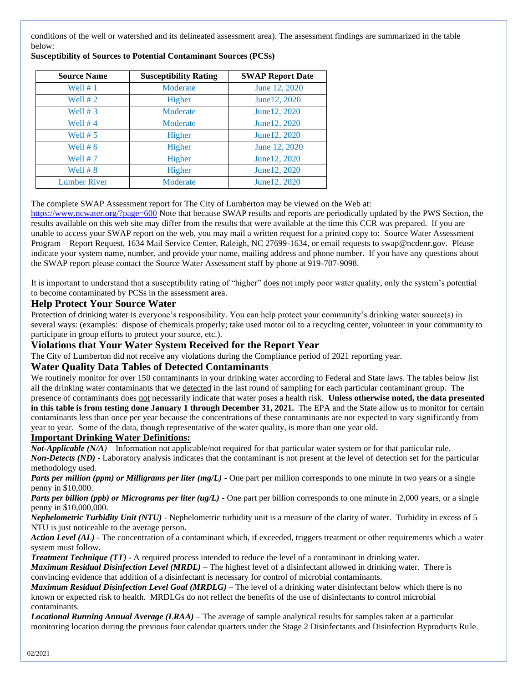conditions of the well or watershed and its delineated assessment area). The assessment findings are summarized in the table below:

| <b>Source Name</b>  | <b>Susceptibility Rating</b> | <b>SWAP Report Date</b> |
|---------------------|------------------------------|-------------------------|
| Well $# 1$          | Moderate                     | June 12, 2020           |
| Well $# 2$          | Higher                       | June 12, 2020           |
| Well $# 3$          | Moderate                     | June12, 2020            |
| Well $# 4$          | Moderate                     | June 12, 2020           |
| Well $# 5$          | Higher                       | June 12, 2020           |
| Well $# 6$          | Higher                       | June 12, 2020           |
| Well $# 7$          | Higher                       | June 12, 2020           |
| Well $# 8$          | Higher                       | June 12, 2020           |
| <b>Lumber River</b> | Moderate                     | June 12, 2020           |

**Susceptibility of Sources to Potential Contaminant Sources (PCSs)**

The complete SWAP Assessment report for The City of Lumberton may be viewed on the Web at:

<https://www.ncwater.org/?page=600> Note that because SWAP results and reports are periodically updated by the PWS Section, the results available on this web site may differ from the results that were available at the time this CCR was prepared. If you are unable to access your SWAP report on the web, you may mail a written request for a printed copy to: Source Water Assessment Program – Report Request, 1634 Mail Service Center, Raleigh, NC 27699-1634, or email requests to swap@ncdenr.gov. Please indicate your system name, number, and provide your name, mailing address and phone number. If you have any questions about the SWAP report please contact the Source Water Assessment staff by phone at 919-707-9098.

It is important to understand that a susceptibility rating of "higher" does not imply poor water quality, only the system's potential to become contaminated by PCSs in the assessment area.

## **Help Protect Your Source Water**

Protection of drinking water is everyone's responsibility. You can help protect your community's drinking water source(s) in several ways: (examples: dispose of chemicals properly; take used motor oil to a recycling center, volunteer in your community to participate in group efforts to protect your source, etc.).

## **Violations that Your Water System Received for the Report Year**

The City of Lumberton did not receive any violations during the Compliance period of 2021 reporting year.

### **Water Quality Data Tables of Detected Contaminants**

We routinely monitor for over 150 contaminants in your drinking water according to Federal and State laws. The tables below list all the drinking water contaminants that we detected in the last round of sampling for each particular contaminant group. The presence of contaminants does not necessarily indicate that water poses a health risk. **Unless otherwise noted, the data presented in this table is from testing done January 1 through December 31, 2021.** The EPA and the State allow us to monitor for certain contaminants less than once per year because the concentrations of these contaminants are not expected to vary significantly from year to year. Some of the data, though representative of the water quality, is more than one year old.

#### **Important Drinking Water Definitions:**

*Not-Applicable (N/A)* – Information not applicable/not required for that particular water system or for that particular rule. *Non-Detects (ND)* - Laboratory analysis indicates that the contaminant is not present at the level of detection set for the particular methodology used.

*Parts per million (ppm) or Milligrams per liter (mg/L)* - One part per million corresponds to one minute in two years or a single penny in \$10,000.

*Parts per billion (ppb) or Micrograms per liter (ug/L)* - One part per billion corresponds to one minute in 2,000 years, or a single penny in \$10,000,000.

*Nephelometric Turbidity Unit (NTU)* - Nephelometric turbidity unit is a measure of the clarity of water. Turbidity in excess of 5 NTU is just noticeable to the average person.

*Action Level (AL) -* The concentration of a contaminant which, if exceeded, triggers treatment or other requirements which a water system must follow.

*Treatment Technique (TT)* **-** A required process intended to reduce the level of a contaminant in drinking water.

*Maximum Residual Disinfection Level (MRDL)* – The highest level of a disinfectant allowed in drinking water. There is convincing evidence that addition of a disinfectant is necessary for control of microbial contaminants.

*Maximum Residual Disinfection Level Goal (MRDLG)* – The level of a drinking water disinfectant below which there is no known or expected risk to health. MRDLGs do not reflect the benefits of the use of disinfectants to control microbial contaminants.

*Locational Running Annual Average (LRAA)* – The average of sample analytical results for samples taken at a particular monitoring location during the previous four calendar quarters under the Stage 2 Disinfectants and Disinfection Byproducts Rule.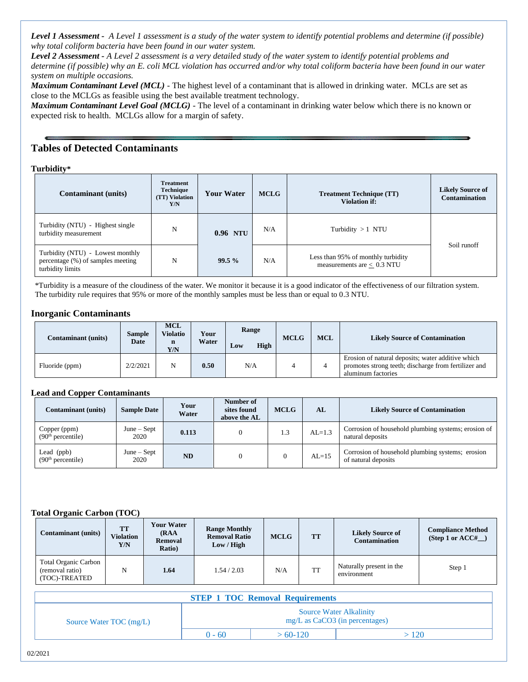*Level 1 Assessment - A Level 1 assessment is a study of the water system to identify potential problems and determine (if possible) why total coliform bacteria have been found in our water system.*

*Level 2 Assessment - A Level 2 assessment is a very detailed study of the water system to identify potential problems and determine (if possible) why an E. coli MCL violation has occurred and/or why total coliform bacteria have been found in our water system on multiple occasions.*

*Maximum Contaminant Level (MCL)* - The highest level of a contaminant that is allowed in drinking water. MCLs are set as close to the MCLGs as feasible using the best available treatment technology.

*Maximum Contaminant Level Goal (MCLG)* - The level of a contaminant in drinking water below which there is no known or expected risk to health. MCLGs allow for a margin of safety.

## **Tables of Detected Contaminants**

**Turbidity\*** 

| <b>Contaminant</b> (units)                                                                | <b>Treatment</b><br><b>Technique</b><br>(TT) Violation<br>Y/N | <b>Your Water</b> | <b>MCLG</b> | <b>Treatment Technique (TT)</b><br><b>Violation if:</b>            | <b>Likely Source of</b><br><b>Contamination</b> |  |
|-------------------------------------------------------------------------------------------|---------------------------------------------------------------|-------------------|-------------|--------------------------------------------------------------------|-------------------------------------------------|--|
| Turbidity (NTU) - Highest single<br>turbidity measurement                                 | N                                                             | 0.96 NTU          | N/A         | Turbidity $>1$ NTU                                                 |                                                 |  |
| Turbidity (NTU) - Lowest monthly<br>percentage (%) of samples meeting<br>turbidity limits | N                                                             | 99.5%             | N/A         | Less than 95% of monthly turbidity<br>measurements are $< 0.3$ NTU | Soil runoff                                     |  |

\*Turbidity is a measure of the cloudiness of the water. We monitor it because it is a good indicator of the effectiveness of our filtration system. The turbidity rule requires that 95% or more of the monthly samples must be less than or equal to 0.3 NTU.

#### **Inorganic Contaminants**

| Contaminant (units) | Sample<br><b>Date</b> | <b>MCL</b><br><b>Violatio</b><br>$\mathbf n$<br>Y/N | Your<br>Water | Range<br>High<br>Low | <b>MCLG</b> | <b>MCL</b> | <b>Likely Source of Contamination</b>                                                                                           |
|---------------------|-----------------------|-----------------------------------------------------|---------------|----------------------|-------------|------------|---------------------------------------------------------------------------------------------------------------------------------|
| Fluoride (ppm)      | 2/2/2021              | N                                                   | 0.50          | N/A                  |             |            | Erosion of natural deposits; water additive which<br>promotes strong teeth; discharge from fertilizer and<br>aluminum factories |

#### **Lead and Copper Contaminants**

| <b>Contaminant</b> (units)                    | <b>Sample Date</b>    | Your<br>Water | Number of<br>sites found<br>above the AL | <b>MCLG</b> | AI       | <b>Likely Source of Contamination</b>                                   |
|-----------------------------------------------|-----------------------|---------------|------------------------------------------|-------------|----------|-------------------------------------------------------------------------|
| Copper (ppm)<br>(90 <sup>th</sup> percentile) | $June - Sept$<br>2020 | 0.113         |                                          | 1.3         | $AL=1.3$ | Corrosion of household plumbing systems; erosion of<br>natural deposits |
| Lead $(ppb)$<br>(90 <sup>th</sup> percentile) | $June - Sept$<br>2020 | <b>ND</b>     |                                          |             | $AL=15$  | Corrosion of household plumbing systems; erosion<br>of natural deposits |

#### **Total Organic Carbon (TOC)**

| <b>Contaminant</b> (units)                               | <b>TT</b><br><b>Violation</b><br>Y/N | Your Water<br>(RAA<br>Removal<br>Ratio) | <b>Range Monthly</b><br><b>Removal Ratio</b><br>Low / High | <b>MCLG</b> | <b>TT</b> | <b>Likely Source of</b><br><b>Contamination</b> | <b>Compliance Method</b><br>(Step 1 or $ACC#$ |
|----------------------------------------------------------|--------------------------------------|-----------------------------------------|------------------------------------------------------------|-------------|-----------|-------------------------------------------------|-----------------------------------------------|
| Total Organic Carbon<br>(removal ratio)<br>(TOC)-TREATED | N                                    | 1.64                                    | 1.54/2.03                                                  | N/A         | <b>TT</b> | Naturally present in the<br>environment         | Step 1                                        |

| <b>STEP 1 TOC Removal Requirements</b> |          |                                                                    |      |  |  |
|----------------------------------------|----------|--------------------------------------------------------------------|------|--|--|
| Source Water TOC $(mg/L)$              |          | <b>Source Water Alkalinity</b><br>$mg/L$ as CaCO3 (in percentages) |      |  |  |
|                                        | $0 - 60$ | $>60-120$                                                          | >120 |  |  |